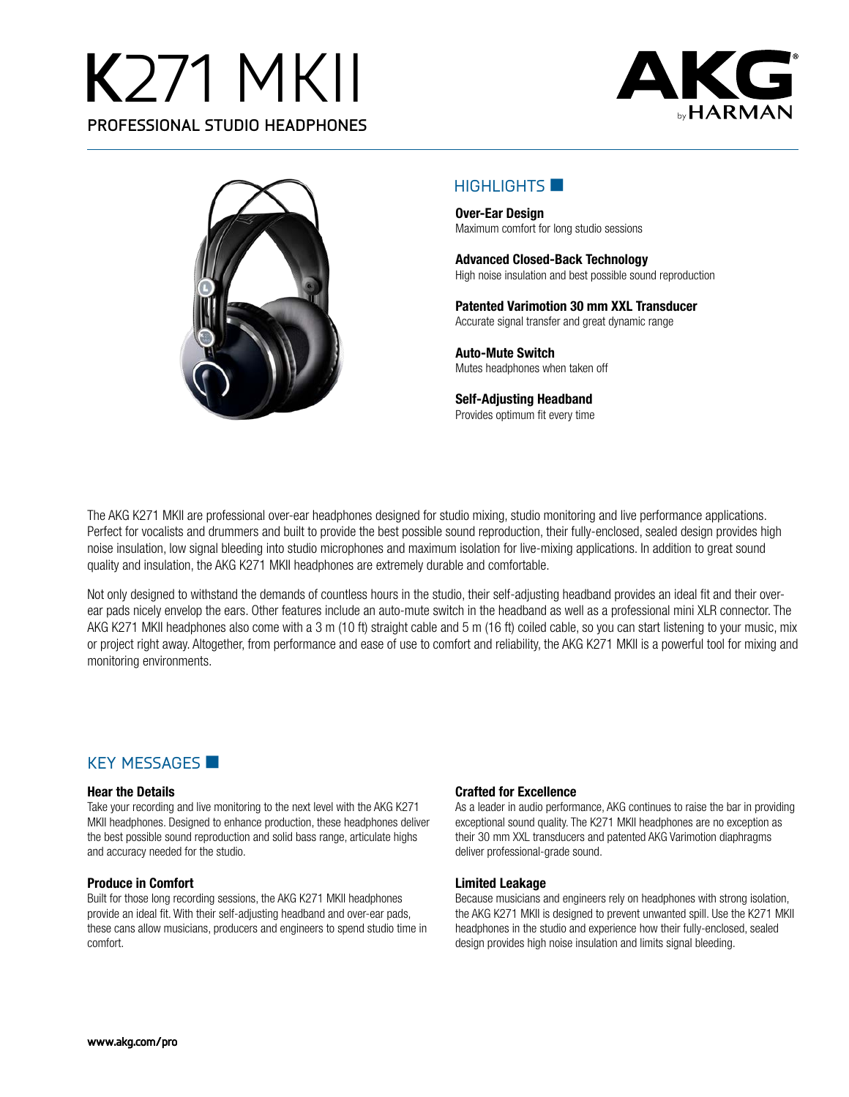# **K**271 MKII **PROFESSIONAL STUDIO HEADPHONES**





## $H$ IGHLIGHTS

**Over-Ear Design** Maximum comfort for long studio sessions

**Advanced Closed-Back Technology** High noise insulation and best possible sound reproduction

**Patented Varimotion 30 mm XXL Transducer** Accurate signal transfer and great dynamic range

**Auto-Mute Switch** Mutes headphones when taken off

**Self-Adjusting Headband** Provides optimum fit every time

The AKG K271 MKII are professional over-ear headphones designed for studio mixing, studio monitoring and live performance applications. Perfect for vocalists and drummers and built to provide the best possible sound reproduction, their fully-enclosed, sealed design provides high noise insulation, low signal bleeding into studio microphones and maximum isolation for live-mixing applications. In addition to great sound quality and insulation, the AKG K271 MKII headphones are extremely durable and comfortable.

Not only designed to withstand the demands of countless hours in the studio, their self-adjusting headband provides an ideal fit and their overear pads nicely envelop the ears. Other features include an auto-mute switch in the headband as well as a professional mini XLR connector. The AKG K271 MKII headphones also come with a 3 m (10 ft) straight cable and 5 m (16 ft) coiled cable, so you can start listening to your music, mix or project right away. Altogether, from performance and ease of use to comfort and reliability, the AKG K271 MKII is a powerful tool for mixing and monitoring environments.

## KEY MESSAGES

#### **Hear the Details**

Take your recording and live monitoring to the next level with the AKG K271 MKII headphones. Designed to enhance production, these headphones deliver the best possible sound reproduction and solid bass range, articulate highs and accuracy needed for the studio.

#### **Produce in Comfort**

Built for those long recording sessions, the AKG K271 MKII headphones provide an ideal fit. With their self-adjusting headband and over-ear pads, these cans allow musicians, producers and engineers to spend studio time in comfort.

#### **Crafted for Excellence**

As a leader in audio performance, AKG continues to raise the bar in providing exceptional sound quality. The K271 MKII headphones are no exception as their 30 mm XXL transducers and patented AKG Varimotion diaphragms deliver professional-grade sound.

#### **Limited Leakage**

Because musicians and engineers rely on headphones with strong isolation, the AKG K271 MKII is designed to prevent unwanted spill. Use the K271 MKII headphones in the studio and experience how their fully-enclosed, sealed design provides high noise insulation and limits signal bleeding.